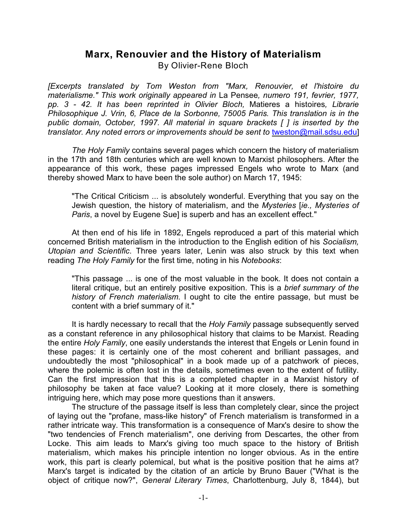# **Marx, Renouvier and the History of Materialism**

By Olivier-Rene Bloch

*[Excerpts translated by Tom Weston from "Marx, Renouvier, et l'histoire du materialisme." This work originally appeared in* La Pensee*, numero 191, fevrier, 1977, pp. 3 - 42. It has been reprinted in Olivier Bloch,* Matieres a histoires*, Librarie Philosophique J. Vrin, 6, Place de la Sorbonne, 75005 Paris. This translation is in the public domain, October, 1997. All material in square brackets [ ] is inserted by the translator. Any noted errors or improvements should be sent to [tweston@mail.sdsu.edu](mailto:tweston@mail.sdsu.edu)l* 

*The Holy Family* contains several pages which concern the history of materialism in the 17th and 18th centuries which are well known to Marxist philosophers. After the appearance of this work, these pages impressed Engels who wrote to Marx (and thereby showed Marx to have been the sole author) on March 17, 1945:

"The Critical Criticism ... is absolutely wonderful. Everything that you say on the Jewish question, the history of materialism, and the *Mysteries* [*ie., Mysteries of Paris*, a novel by Eugene Sue] is superb and has an excellent effect."

At then end of his life in 1892, Engels reproduced a part of this material which concerned British materialism in the introduction to the English edition of his *Socialism, Utopian and Scientific*. Three years later, Lenin was also struck by this text when reading *The Holy Family* for the first time, noting in his *Notebooks*:

"This passage ... is one of the most valuable in the book. It does not contain a literal critique, but an entirely positive exposition. This is a *brief summary of the history of French materialism*. I ought to cite the entire passage, but must be content with a brief summary of it."

It is hardly necessary to recall that the *Holy Family* passage subsequently served as a constant reference in any philosophical history that claims to be Marxist. Reading the entire *Holy Family*, one easily understands the interest that Engels or Lenin found in these pages: it is certainly one of the most coherent and brilliant passages, and undoubtedly the most "philosophical" in a book made up of a patchwork of pieces, where the polemic is often lost in the details, sometimes even to the extent of futility. Can the first impression that this is a completed chapter in a Marxist history of philosophy be taken at face value? Looking at it more closely, there is something intriguing here, which may pose more questions than it answers.

The structure of the passage itself is less than completely clear, since the project of laying out the "profane, mass-like history" of French materialism is transformed in a rather intricate way. This transformation is a consequence of Marx's desire to show the "two tendencies of French materialism", one deriving from Descartes, the other from Locke. This aim leads to Marx's giving too much space to the history of British materialism, which makes his principle intention no longer obvious. As in the entire work, this part is clearly polemical, but what is the positive position that he aims at? Marx's target is indicated by the citation of an article by Bruno Bauer ("What is the object of critique now?", *General Literary Times*, Charlottenburg, July 8, 1844), but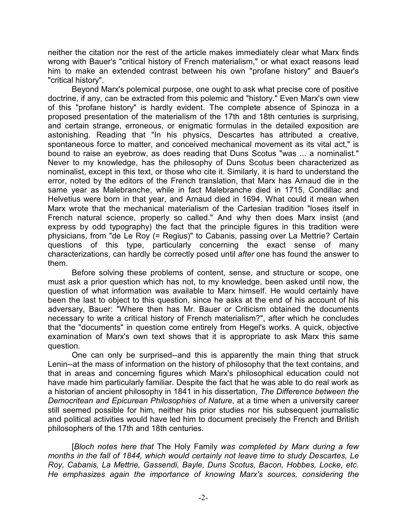neither the citation nor the rest of the article makes immediately clear what Marx finds wrong with Bauer's "critical history of French materialism," or what exact reasons lead him to make an extended contrast between his own "profane history" and Bauer's "critical history".

Beyond Marx's polemical purpose, one ought to ask what precise core of positive doctrine, if any, can be extracted from this polemic and "history." Even Marx's own view of this "profane history" is hardly evident. The complete absence of Spinoza in a proposed presentation of the materialism of the 17th and 18th centuries is surprising, and certain strange, erroneous, or enigmatic formulas in the detailed exposition are astonishing. Reading that "In his physics, Descartes has attributed a creative, spontaneous force to matter, and conceived mechanical movement as its vital act," is bound to raise an eyebrow, as does reading that Duns Scotus "was ... a nominalist." Never to my knowledge, has the philosophy of Duns Scotus been characterized as nominalist, except in this text, or those who cite it. Similarly, it is hard to understand the error, noted by the editors of the French translation, that Marx has Arnaud die in the same year as Malebranche, while in fact Malebranche died in 1715, Condillac and Helvetius were born in that year, and Arnaud died in 1694. What could it mean when Marx wrote that the mechanical materialism of the Cartesian tradition "loses itself in French natural science, properly so called." And why then does Marx insist (and express by odd typography) the fact that the principle figures in this tradition were physicians, from "de Le Roy (= Regius)" to Cabanis, passing over La Mettrie? Certain questions of this type, particularly concerning the exact sense of many characterizations, can hardly be correctly posed until *after* one has found the answer to them.

Before solving these problems of content, sense, and structure or scope, one must ask a prior question which has not, to my knowledge, been asked until now, the question of what information was available to Marx himself. He would certainly have been the last to object to this question, since he asks at the end of his account of his adversary, Bauer: "Where then has Mr. Bauer or Criticism obtained the documents necessary to write a critical history of French materialism?", after which he concludes that the "documents" in question come entirely from Hegel's works. A quick, objective examination of Marx's own text shows that it is appropriate to ask Marx this same question.

One can only be surprised--and this is apparently the main thing that struck Lenin--at the mass of information on the history of philosophy that the text contains, and that in areas and concerning figures which Marx's philosophical education could not have made him particularly familiar. Despite the fact that he was able to do real work as a historian of ancient philosophy in 1841 in his dissertation, *The Difference between the Democritean and Epicurean Philosophies of Nature*, at a time when a university career still seemed possible for him, neither his prior studies nor his subsequent journalistic and political activities would have led him to document precisely the French and British philosophers of the 17th and 18th centuries.

[*Bloch notes here that* The Holy Family *was completed by Marx during a few months in the fall of 1844, which would certainly not leave time to study Descartes, Le Roy, Cabanis, La Mettrie, Gassendi, Bayle, Duns Scotus, Bacon, Hobbes, Locke, etc. He emphasizes again the importance of knowing Marx's sources, considering the*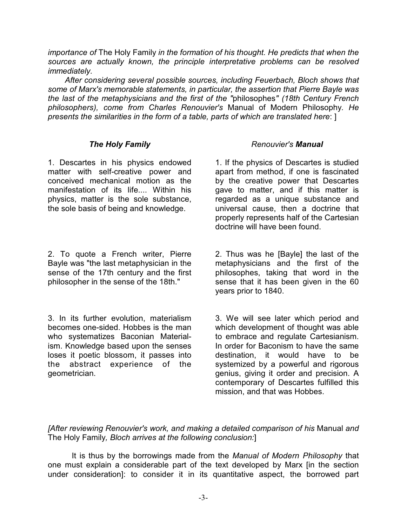*importance of* The Holy Family *in the formation of his thought. He predicts that when the sources are actually known, the principle interpretative problems can be resolved immediately.* 

*After considering several possible sources, including Feuerbach, Bloch shows that some of Marx's memorable statements, in particular, the assertion that Pierre Bayle was the last of the metaphysicians and the first of the "*philosophes*" (18th Century French philosophers), come from Charles Renouvier's* Manual of Modern Philosophy*. He presents the similarities in the form of a table, parts of which are translated here*: ]

## *The Holy Family*

1. Descartes in his physics endowed matter with self-creative power and conceived mechanical motion as the manifestation of its life.... Within his physics, matter is the sole substance, the sole basis of being and knowledge.

2. To quote a French writer, Pierre Bayle was "the last metaphysician in the sense of the 17th century and the first philosopher in the sense of the 18th."

3. In its further evolution, materialism becomes one-sided. Hobbes is the man who systematizes Baconian Materialism. Knowledge based upon the senses loses it poetic blossom, it passes into the abstract experience of the geometrician.

## *Renouvier's Manual*

1. If the physics of Descartes is studied apart from method, if one is fascinated by the creative power that Descartes gave to matter, and if this matter is regarded as a unique substance and universal cause, then a doctrine that properly represents half of the Cartesian doctrine will have been found.

2. Thus was he [Bayle] the last of the metaphysicians and the first of the philosophes, taking that word in the sense that it has been given in the 60 years prior to 1840.

3. We will see later which period and which development of thought was able to embrace and regulate Cartesianism. In order for Baconism to have the same destination, it would have to be systemized by a powerful and rigorous genius, giving it order and precision. A contemporary of Descartes fulfilled this mission, and that was Hobbes.

*[After reviewing Renouvier's work, and making a detailed comparison of his* Manual *and* The Holy Family*, Bloch arrives at the following conclusion:*]

It is thus by the borrowings made from the *Manual of Modern Philosophy* that one must explain a considerable part of the text developed by Marx [in the section under consideration]: to consider it in its quantitative aspect, the borrowed part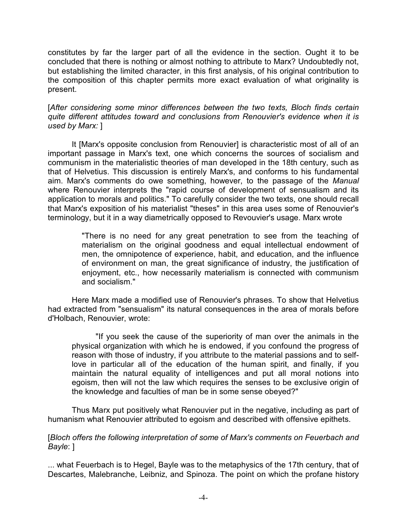constitutes by far the larger part of all the evidence in the section. Ought it to be concluded that there is nothing or almost nothing to attribute to Marx? Undoubtedly not, but establishing the limited character, in this first analysis, of his original contribution to the composition of this chapter permits more exact evaluation of what originality is present.

[*After considering some minor differences between the two texts, Bloch finds certain quite different attitudes toward and conclusions from Renouvier's evidence when it is used by Marx:* ]

It [Marx's opposite conclusion from Renouvier] is characteristic most of all of an important passage in Marx's text, one which concerns the sources of socialism and communism in the materialistic theories of man developed in the 18th century, such as that of Helvetius. This discussion is entirely Marx's, and conforms to his fundamental aim. Marx's comments do owe something, however, to the passage of the *Manual* where Renouvier interprets the "rapid course of development of sensualism and its application to morals and politics." To carefully consider the two texts, one should recall that Marx's exposition of his materialist "theses" in this area uses some of Renouvier's terminology, but it in a way diametrically opposed to Revouvier's usage. Marx wrote

> "There is no need for any great penetration to see from the teaching of materialism on the original goodness and equal intellectual endowment of men, the omnipotence of experience, habit, and education, and the influence of environment on man, the great significance of industry, the justification of enjoyment, etc., how necessarily materialism is connected with communism and socialism."

Here Marx made a modified use of Renouvier's phrases. To show that Helvetius had extracted from "sensualism" its natural consequences in the area of morals before d'Holbach, Renouvier, wrote:

"If you seek the cause of the superiority of man over the animals in the physical organization with which he is endowed, if you confound the progress of reason with those of industry, if you attribute to the material passions and to selflove in particular all of the education of the human spirit, and finally, if you maintain the natural equality of intelligences and put all moral notions into egoism, then will not the law which requires the senses to be exclusive origin of the knowledge and faculties of man be in some sense obeyed?"

Thus Marx put positively what Renouvier put in the negative, including as part of humanism what Renouvier attributed to egoism and described with offensive epithets.

#### [*Bloch offers the following interpretation of some of Marx's comments on Feuerbach and Bayle*: ]

... what Feuerbach is to Hegel, Bayle was to the metaphysics of the 17th century, that of Descartes, Malebranche, Leibniz, and Spinoza. The point on which the profane history